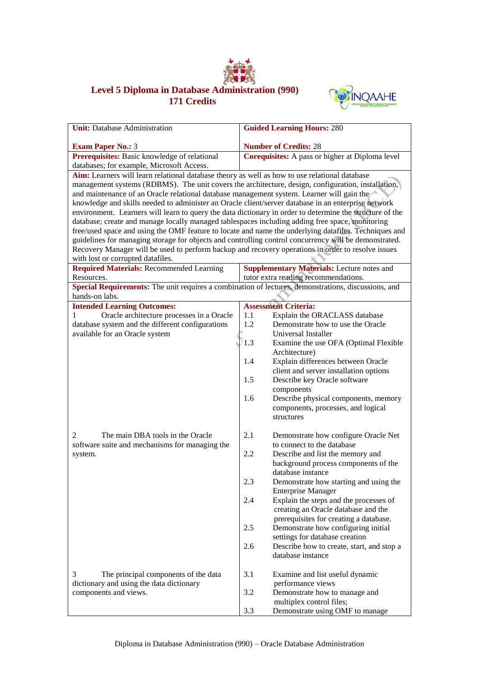

## **Level 5 Diploma in Database Administration (990) 171 Credits**



| <b>Unit:</b> Database Administration                                                                                                    | <b>Guided Learning Hours: 280</b>                                                                     |  |  |  |
|-----------------------------------------------------------------------------------------------------------------------------------------|-------------------------------------------------------------------------------------------------------|--|--|--|
| <b>Exam Paper No.: 3</b>                                                                                                                | <b>Number of Credits: 28</b>                                                                          |  |  |  |
| Prerequisites: Basic knowledge of relational                                                                                            | Corequisites: A pass or higher at Diploma level                                                       |  |  |  |
| databases; for example, Microsoft Access.                                                                                               |                                                                                                       |  |  |  |
| Aim: Learners will learn relational database theory as well as how to use relational database                                           |                                                                                                       |  |  |  |
| management systems (RDBMS). The unit covers the architecture, design, configuration, installation,                                      |                                                                                                       |  |  |  |
| and maintenance of an Oracle relational database management system. Learner will gain the                                               |                                                                                                       |  |  |  |
| knowledge and skills needed to administer an Oracle client/server database in an enterprise network                                     |                                                                                                       |  |  |  |
| environment. Learners will learn to query the data dictionary in order to determine the structure of the                                |                                                                                                       |  |  |  |
| database; create and manage locally managed tablespaces including adding free space, monitoring                                         |                                                                                                       |  |  |  |
|                                                                                                                                         | free/used space and using the OMF feature to locate and name the underlying datafiles. Techniques and |  |  |  |
| guidelines for managing storage for objects and controlling control concurrency will be demonstrated.                                   |                                                                                                       |  |  |  |
| Recovery Manager will be used to perform backup and recovery operations in order to resolve issues<br>with lost or corrupted datafiles. |                                                                                                       |  |  |  |
| <b>Required Materials: Recommended Learning</b>                                                                                         | <b>Supplementary Materials:</b> Lecture notes and                                                     |  |  |  |
| Resources.                                                                                                                              | tutor extra reading recommendations.                                                                  |  |  |  |
| Special Requirements: The unit requires a combination of lectures, demonstrations, discussions, and                                     |                                                                                                       |  |  |  |
| hands-on labs.                                                                                                                          |                                                                                                       |  |  |  |
| <b>Intended Learning Outcomes:</b>                                                                                                      | <b>Assessment Criteria:</b>                                                                           |  |  |  |
| Oracle architecture processes in a Oracle<br>1                                                                                          | 1.1<br>Explain the ORACLASS database                                                                  |  |  |  |
| database system and the different configurations                                                                                        | Demonstrate how to use the Oracle<br>1.2                                                              |  |  |  |
| available for an Oracle system                                                                                                          | Universal Installer                                                                                   |  |  |  |
|                                                                                                                                         | 1.3<br>Examine the use OFA (Optimal Flexible                                                          |  |  |  |
|                                                                                                                                         | Architecture)                                                                                         |  |  |  |
|                                                                                                                                         | 1.4<br>Explain differences between Oracle                                                             |  |  |  |
|                                                                                                                                         | client and server installation options<br>1.5                                                         |  |  |  |
|                                                                                                                                         | Describe key Oracle software<br>components                                                            |  |  |  |
|                                                                                                                                         | Describe physical components, memory<br>1.6                                                           |  |  |  |
|                                                                                                                                         | components, processes, and logical                                                                    |  |  |  |
|                                                                                                                                         | structures                                                                                            |  |  |  |
|                                                                                                                                         |                                                                                                       |  |  |  |
| The main DBA tools in the Oracle<br>2                                                                                                   | 2.1<br>Demonstrate how configure Oracle Net                                                           |  |  |  |
| software suite and mechanisms for managing the                                                                                          | to connect to the database                                                                            |  |  |  |
| system.                                                                                                                                 | 2.2<br>Describe and list the memory and                                                               |  |  |  |
|                                                                                                                                         | background process components of the                                                                  |  |  |  |
|                                                                                                                                         | database instance                                                                                     |  |  |  |
|                                                                                                                                         | 2.3<br>Demonstrate how starting and using the                                                         |  |  |  |
|                                                                                                                                         | <b>Enterprise Manager</b><br>2.4<br>Explain the steps and the processes of                            |  |  |  |
|                                                                                                                                         | creating an Oracle database and the                                                                   |  |  |  |
|                                                                                                                                         | prerequisites for creating a database.                                                                |  |  |  |
|                                                                                                                                         | 2.5<br>Demonstrate how configuring initial                                                            |  |  |  |
|                                                                                                                                         | settings for database creation                                                                        |  |  |  |
|                                                                                                                                         | 2.6<br>Describe how to create, start, and stop a                                                      |  |  |  |
|                                                                                                                                         | database instance                                                                                     |  |  |  |
|                                                                                                                                         |                                                                                                       |  |  |  |
| 3<br>The principal components of the data                                                                                               | 3.1<br>Examine and list useful dynamic                                                                |  |  |  |
| dictionary and using the data dictionary                                                                                                | performance views                                                                                     |  |  |  |
| components and views.                                                                                                                   | 3.2<br>Demonstrate how to manage and                                                                  |  |  |  |
|                                                                                                                                         | multiplex control files;                                                                              |  |  |  |
|                                                                                                                                         | 3.3<br>Demonstrate using OMF to manage                                                                |  |  |  |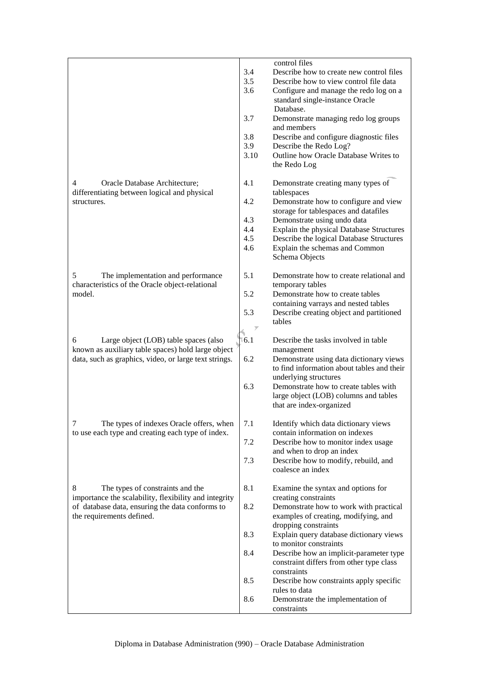|                                                       |                 | control files                                             |
|-------------------------------------------------------|-----------------|-----------------------------------------------------------|
|                                                       | 3.4             | Describe how to create new control files                  |
|                                                       | 3.5             | Describe how to view control file data                    |
|                                                       | 3.6             | Configure and manage the redo log on a                    |
|                                                       |                 | standard single-instance Oracle                           |
|                                                       |                 | Database.                                                 |
|                                                       | 3.7             | Demonstrate managing redo log groups                      |
|                                                       |                 | and members                                               |
|                                                       | 3.8             | Describe and configure diagnostic files                   |
|                                                       | 3.9             | Describe the Redo Log?                                    |
|                                                       | 3.10            | Outline how Oracle Database Writes to                     |
|                                                       |                 | the Redo Log                                              |
| Oracle Database Architecture;<br>4                    | 4.1             | Demonstrate creating many types of                        |
| differentiating between logical and physical          |                 | tablespaces                                               |
| structures.                                           | 4.2             | Demonstrate how to configure and view                     |
|                                                       |                 | storage for tablespaces and datafiles                     |
|                                                       | 4.3             | Demonstrate using undo data                               |
|                                                       | 4.4             | Explain the physical Database Structures                  |
|                                                       | 4.5             | Describe the logical Database Structures                  |
|                                                       | 4.6             | Explain the schemas and Common                            |
|                                                       |                 | Schema Objects                                            |
|                                                       |                 |                                                           |
| 5<br>The implementation and performance               | 5.1             | Demonstrate how to create relational and                  |
| characteristics of the Oracle object-relational       |                 | temporary tables                                          |
| model.                                                | 5.2             | Demonstrate how to create tables                          |
|                                                       | 5.3             | containing varrays and nested tables                      |
|                                                       |                 | Describe creating object and partitioned<br>tables        |
|                                                       | $\overline{y}$  |                                                           |
| 6<br>Large object (LOB) table spaces (also            | $\frac{6.1}{2}$ | Describe the tasks involved in table                      |
| known as auxiliary table spaces) hold large object    |                 | management                                                |
| data, such as graphics, video, or large text strings. | 6.2             | Demonstrate using data dictionary views                   |
|                                                       |                 | to find information about tables and their                |
|                                                       |                 | underlying structures                                     |
|                                                       | 6.3             | Demonstrate how to create tables with                     |
|                                                       |                 | large object (LOB) columns and tables                     |
|                                                       |                 | that are index-organized                                  |
|                                                       |                 |                                                           |
| 7<br>The types of indexes Oracle offers, when         | 7.1             | Identify which data dictionary views                      |
| to use each type and creating each type of index.     |                 | contain information on indexes                            |
|                                                       | 7.2             | Describe how to monitor index usage                       |
|                                                       |                 | and when to drop an index                                 |
|                                                       | 7.3             | Describe how to modify, rebuild, and<br>coalesce an index |
|                                                       |                 |                                                           |
| 8<br>The types of constraints and the                 | 8.1             | Examine the syntax and options for                        |
| importance the scalability, flexibility and integrity |                 | creating constraints                                      |
| of database data, ensuring the data conforms to       | 8.2             | Demonstrate how to work with practical                    |
| the requirements defined.                             |                 | examples of creating, modifying, and                      |
|                                                       |                 | dropping constraints                                      |
|                                                       | 8.3             | Explain query database dictionary views                   |
|                                                       |                 | to monitor constraints                                    |
|                                                       | 8.4             | Describe how an implicit-parameter type                   |
|                                                       |                 | constraint differs from other type class                  |
|                                                       |                 | constraints                                               |
|                                                       | 8.5             | Describe how constraints apply specific                   |
|                                                       |                 | rules to data                                             |
|                                                       | 8.6             | Demonstrate the implementation of                         |
|                                                       |                 | constraints                                               |